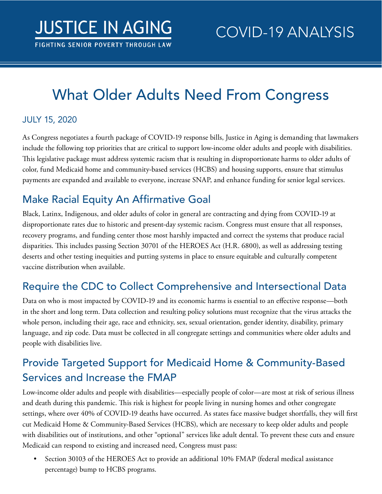# What Older Adults Need From Congress

#### JULY 15, 2020

As Congress negotiates a fourth package of COVID-19 response bills, Justice in Aging is demanding that lawmakers include the following top priorities that are critical to support low-income older adults and people with disabilities. This legislative package must address systemic racism that is resulting in disproportionate harms to older adults of color, fund Medicaid home and community-based services (HCBS) and housing supports, ensure that stimulus payments are expanded and available to everyone, increase SNAP, and enhance funding for senior legal services.

# Make Racial Equity An Affirmative Goal

Black, Latinx, Indigenous, and older adults of color in general are contracting and dying from COVID-19 at disproportionate rates due to historic and present-day systemic racism. Congress must ensure that all responses, recovery programs, and funding center those most harshly impacted and correct the systems that produce racial disparities. This includes passing Section 30701 of the HEROES Act (H.R. 6800), as well as addressing testing deserts and other testing inequities and putting systems in place to ensure equitable and culturally competent vaccine distribution when available.

# Require the CDC to Collect Comprehensive and Intersectional Data

Data on who is most impacted by COVID-19 and its economic harms is essential to an effective response—both in the short and long term. Data collection and resulting policy solutions must recognize that the virus attacks the whole person, including their age, race and ethnicity, sex, sexual orientation, gender identity, disability, primary language, and zip code. Data must be collected in all congregate settings and communities where older adults and people with disabilities live.

# Provide Targeted Support for Medicaid Home & Community-Based Services and Increase the FMAP

Low-income older adults and people with disabilities—especially people of color—are most at risk of serious illness and death during this pandemic. This risk is highest for people living in nursing homes and other congregate settings, where over 40% of COVID-19 deaths have occurred. As states face massive budget shortfalls, they will first cut Medicaid Home & Community-Based Services (HCBS), which are necessary to keep older adults and people with disabilities out of institutions, and other "optional" services like adult dental. To prevent these cuts and ensure Medicaid can respond to existing and increased need, Congress must pass:

• Section 30103 of the HEROES Act to provide an additional 10% FMAP (federal medical assistance percentage) bump to HCBS programs.